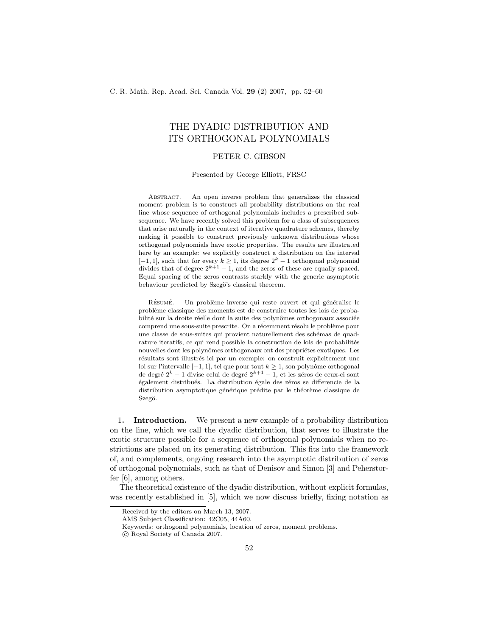# THE DYADIC DISTRIBUTION AND ITS ORTHOGONAL POLYNOMIALS

## PETER C. GIBSON

Presented by George Elliott, FRSC

Abstract. An open inverse problem that generalizes the classical moment problem is to construct all probability distributions on the real line whose sequence of orthogonal polynomials includes a prescribed subsequence. We have recently solved this problem for a class of subsequences that arise naturally in the context of iterative quadrature schemes, thereby making it possible to construct previously unknown distributions whose orthogonal polynomials have exotic properties. The results are illustrated here by an example: we explicitly construct a distribution on the interval [-1, 1], such that for every  $k \geq 1$ , its degree  $2^k - 1$  orthogonal polynomial divides that of degree  $2^{k+1} - 1$ , and the zeros of these are equally spaced. Equal spacing of the zeros contrasts starkly with the generic asymptotic behaviour predicted by Szegö's classical theorem.

RÉSUMÉ. Un problème inverse qui reste ouvert et qui généralise le probl`eme classique des moments est de construire toutes les lois de probabilité sur la droite réelle dont la suite des polynômes orthogonaux associée comprend une sous-suite prescrite. On a récemment résolu le problème pour une classe de sous-suites qui provient naturellement des schémas de quadrature iteratifs, ce qui rend possible la construction de lois de probabilités nouvelles dont les polynômes orthogonaux ont des propriétes exotiques. Les résultats sont illustrés ici par un exemple: on construit explicitement une loi sur l'intervalle  $[-1, 1]$ , tel que pour tout  $k ≥ 1$ , son polynôme orthogonal de degré  $2^k - 1$  divise celui de degré  $2^{k+1} - 1$ , et les zéros de ceux-ci sont également distribués. La distribution égale des zéros se differencie de la distribution asymptotique générique prédite par le théorème classique de Szegö.

1. Introduction. We present a new example of a probability distribution on the line, which we call the dyadic distribution, that serves to illustrate the exotic structure possible for a sequence of orthogonal polynomials when no restrictions are placed on its generating distribution. This fits into the framework of, and complements, ongoing research into the asymptotic distribution of zeros of orthogonal polynomials, such as that of Denisov and Simon [3] and Peherstorfer [6], among others.

The theoretical existence of the dyadic distribution, without explicit formulas, was recently established in  $\vert 5 \vert$ , which we now discuss briefly, fixing notation as

Received by the editors on March 13, 2007.

AMS Subject Classification: 42C05, 44A60.

Keywords: orthogonal polynomials, location of zeros, moment problems.

c Royal Society of Canada 2007.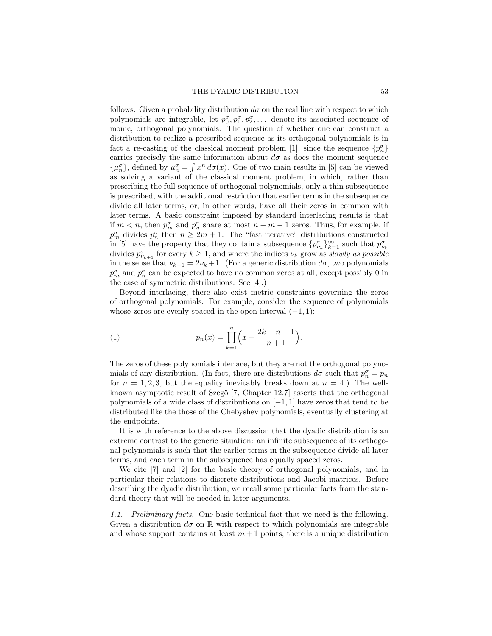follows. Given a probability distribution  $d\sigma$  on the real line with respect to which polynomials are integrable, let  $p_0^{\sigma}, p_1^{\sigma}, p_2^{\sigma}, \ldots$  denote its associated sequence of monic, orthogonal polynomials. The question of whether one can construct a distribution to realize a prescribed sequence as its orthogonal polynomials is in fact a re-casting of the classical moment problem [1], since the sequence  $\{p_n^{\sigma}\}$ carries precisely the same information about  $d\sigma$  as does the moment sequence  $\{\mu_n^{\sigma}\}\,$ , defined by  $\mu_n^{\sigma} = \int x^n d\sigma(x)$ . One of two main results in [5] can be viewed as solving a variant of the classical moment problem, in which, rather than prescribing the full sequence of orthogonal polynomials, only a thin subsequence is prescribed, with the additional restriction that earlier terms in the subsequence divide all later terms, or, in other words, have all their zeros in common with later terms. A basic constraint imposed by standard interlacing results is that if  $m < n$ , then  $p_m^{\sigma}$  and  $p_n^{\sigma}$  share at most  $n - m - 1$  zeros. Thus, for example, if  $p_m^{\sigma}$  divides  $p_n^{\sigma}$  then  $n \geq 2m + 1$ . The "fast iterative" distributions constructed in [5] have the property that they contain a subsequence  $\{p^{\sigma}_{\nu_k}\}_{k=1}^{\infty}$  such that  $p^{\sigma}_{\nu_k}$ divides  $p_{\nu_{k+1}}^{\sigma}$  for every  $k \geq 1$ , and where the indices  $\nu_k$  grow as slowly as possible in the sense that  $\nu_{k+1} = 2\nu_k + 1$ . (For a generic distribution  $d\sigma$ , two polynomials  $p_m^{\sigma}$  and  $p_n^{\sigma}$  can be expected to have no common zeros at all, except possibly 0 in the case of symmetric distributions. See [4].)

Beyond interlacing, there also exist metric constraints governing the zeros of orthogonal polynomials. For example, consider the sequence of polynomials whose zeros are evenly spaced in the open interval  $(-1, 1)$ :

(1) 
$$
p_n(x) = \prod_{k=1}^n \left( x - \frac{2k - n - 1}{n + 1} \right).
$$

The zeros of these polynomials interlace, but they are not the orthogonal polynomials of any distribution. (In fact, there are distributions  $d\sigma$  such that  $p_n^{\sigma} = p_n$ for  $n = 1, 2, 3$ , but the equality inevitably breaks down at  $n = 4$ .) The wellknown asymptotic result of Szegö [7, Chapter 12.7] asserts that the orthogonal polynomials of a wide class of distributions on [−1, 1] have zeros that tend to be distributed like the those of the Chebyshev polynomials, eventually clustering at the endpoints.

It is with reference to the above discussion that the dyadic distribution is an extreme contrast to the generic situation: an infinite subsequence of its orthogonal polynomials is such that the earlier terms in the subsequence divide all later terms, and each term in the subsequence has equally spaced zeros.

We cite [7] and [2] for the basic theory of orthogonal polynomials, and in particular their relations to discrete distributions and Jacobi matrices. Before describing the dyadic distribution, we recall some particular facts from the standard theory that will be needed in later arguments.

1.1. Preliminary facts. One basic technical fact that we need is the following. Given a distribution  $d\sigma$  on  $\mathbb R$  with respect to which polynomials are integrable and whose support contains at least  $m + 1$  points, there is a unique distribution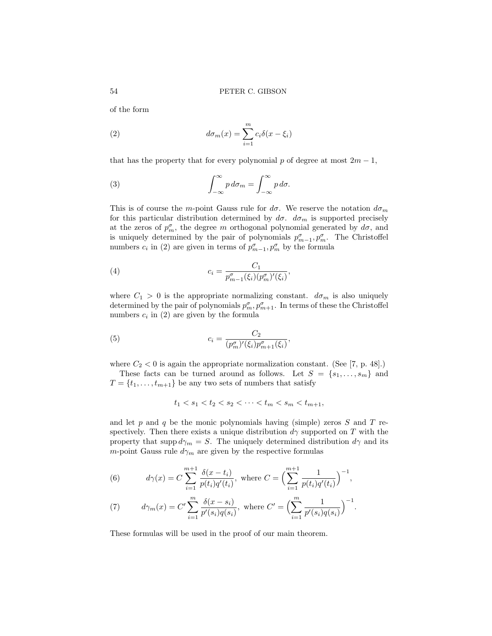of the form

(2) 
$$
d\sigma_m(x) = \sum_{i=1}^m c_i \delta(x - \xi_i)
$$

that has the property that for every polynomial p of degree at most  $2m - 1$ ,

(3) 
$$
\int_{-\infty}^{\infty} p \, d\sigma_m = \int_{-\infty}^{\infty} p \, d\sigma.
$$

This is of course the m-point Gauss rule for  $d\sigma$ . We reserve the notation  $d\sigma_m$ for this particular distribution determined by  $d\sigma$ .  $d\sigma_m$  is supported precisely at the zeros of  $p_m^{\sigma}$ , the degree m orthogonal polynomial generated by  $d\sigma$ , and is uniquely determined by the pair of polynomials  $p_{m-1}^{\sigma}, p_m^{\sigma}$ . The Christoffel numbers  $c_i$  in (2) are given in terms of  $p_{m-1}^{\sigma}, p_m^{\sigma}$  by the formula

(4) 
$$
c_i = \frac{C_1}{p_{m-1}^{\sigma}(\xi_i)(p_m^{\sigma})'(\xi_i)},
$$

where  $C_1 > 0$  is the appropriate normalizing constant.  $d\sigma_m$  is also uniquely determined by the pair of polynomials  $p_m^{\sigma}, p_{m+1}^{\sigma}$ . In terms of these the Christoffel numbers  $c_i$  in (2) are given by the formula

(5) 
$$
c_i = \frac{C_2}{(p_m^{\sigma})'(\xi_i)p_{m+1}^{\sigma}(\xi_i)},
$$

where  $C_2 < 0$  is again the appropriate normalization constant. (See [7, p. 48].) These facts can be turned around as follows. Let  $S = \{s_1, \ldots, s_m\}$  and

 $T = \{t_1, \ldots, t_{m+1}\}\$ be any two sets of numbers that satisfy

$$
t_1 < s_1 < t_2 < s_2 < \cdots < t_m < s_m < t_{m+1},
$$

and let  $p$  and  $q$  be the monic polynomials having (simple) zeros  $S$  and  $T$  respectively. Then there exists a unique distribution  $d\gamma$  supported on T with the property that supp  $d\gamma_m = S$ . The uniquely determined distribution  $d\gamma$  and its m-point Gauss rule  $d\gamma_m$  are given by the respective formulas

(6) 
$$
d\gamma(x) = C \sum_{i=1}^{m+1} \frac{\delta(x - t_i)}{p(t_i)q'(t_i)}, \text{ where } C = \Big(\sum_{i=1}^{m+1} \frac{1}{p(t_i)q'(t_i)}\Big)^{-1},
$$

(7) 
$$
d\gamma_m(x) = C' \sum_{i=1}^m \frac{\delta(x - s_i)}{p'(s_i)q(s_i)}, \text{ where } C' = \Bigl(\sum_{i=1}^m \frac{1}{p'(s_i)q(s_i)}\Bigr)^{-1}.
$$

These formulas will be used in the proof of our main theorem.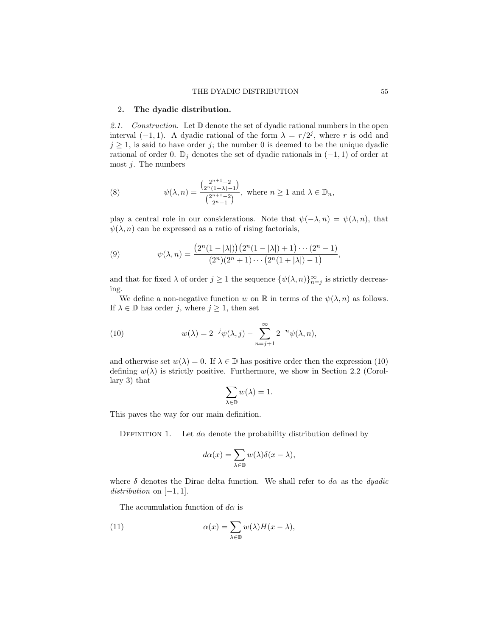#### 2. The dyadic distribution.

2.1. Construction. Let  $\mathbb D$  denote the set of dyadic rational numbers in the open interval  $(-1,1)$ . A dyadic rational of the form  $\lambda = r/2^j$ , where r is odd and  $j \geq 1$ , is said to have order j; the number 0 is deemed to be the unique dyadic rational of order 0.  $\mathbb{D}_j$  denotes the set of dyadic rationals in  $(-1, 1)$  of order at most  $j$ . The numbers

(8) 
$$
\psi(\lambda, n) = \frac{\binom{2^{n+1}-2}{2^{n+1}-2}}{\binom{2^{n+1}-2}{2^{n-1}}}, \text{ where } n \ge 1 \text{ and } \lambda \in \mathbb{D}_n,
$$

play a central role in our considerations. Note that  $\psi(-\lambda, n) = \psi(\lambda, n)$ , that  $\psi(\lambda, n)$  can be expressed as a ratio of rising factorials,

(9) 
$$
\psi(\lambda, n) = \frac{(2^n(1 - |\lambda|))(2^n(1 - |\lambda|) + 1) \cdots (2^n - 1)}{(2^n)(2^n + 1) \cdots (2^n(1 + |\lambda|) - 1)},
$$

and that for fixed  $\lambda$  of order  $j \geq 1$  the sequence  $\{\psi(\lambda, n)\}_{n=j}^{\infty}$  is strictly decreasing.

We define a non-negative function w on R in terms of the  $\psi(\lambda, n)$  as follows. If  $\lambda \in \mathbb{D}$  has order j, where  $j \geq 1$ , then set

(10) 
$$
w(\lambda) = 2^{-j}\psi(\lambda, j) - \sum_{n=j+1}^{\infty} 2^{-n}\psi(\lambda, n),
$$

and otherwise set  $w(\lambda) = 0$ . If  $\lambda \in \mathbb{D}$  has positive order then the expression (10) defining  $w(\lambda)$  is strictly positive. Furthermore, we show in Section 2.2 (Corollary 3) that

$$
\sum_{\lambda\in\mathbb{D}}w(\lambda)=1.
$$

This paves the way for our main definition.

DEFINITION 1. Let  $d\alpha$  denote the probability distribution defined by

$$
d\alpha(x) = \sum_{\lambda \in \mathbb{D}} w(\lambda)\delta(x - \lambda),
$$

where  $\delta$  denotes the Dirac delta function. We shall refer to  $d\alpha$  as the *dyadic*  $distribution on [-1, 1].$ 

The accumulation function of  $d\alpha$  is

(11) 
$$
\alpha(x) = \sum_{\lambda \in \mathbb{D}} w(\lambda) H(x - \lambda),
$$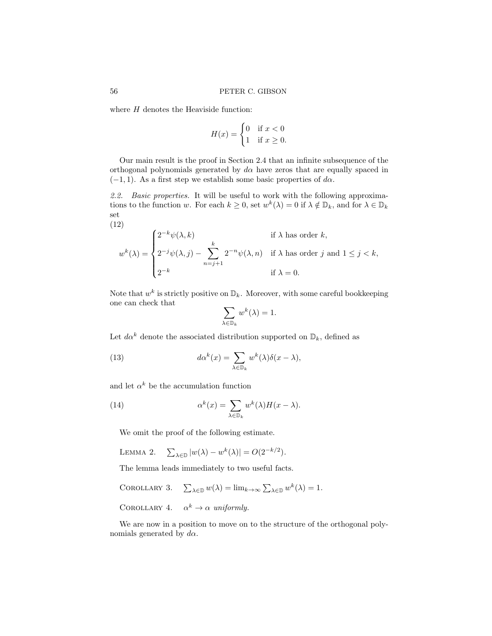where  $H$  denotes the Heaviside function:

$$
H(x) = \begin{cases} 0 & \text{if } x < 0 \\ 1 & \text{if } x \ge 0. \end{cases}
$$

Our main result is the proof in Section 2.4 that an infinite subsequence of the orthogonal polynomials generated by  $d\alpha$  have zeros that are equally spaced in  $(-1, 1)$ . As a first step we establish some basic properties of d $\alpha$ .

2.2. Basic properties. It will be useful to work with the following approximations to the function w. For each  $k \geq 0$ , set  $w^k(\lambda) = 0$  if  $\lambda \notin \mathbb{D}_k$ , and for  $\lambda \in \mathbb{D}_k$ set (12)

$$
w^{k}(\lambda) = \begin{cases} 2^{-k}\psi(\lambda, k) & \text{if } \lambda \text{ has order } k, \\ 2^{-j}\psi(\lambda, j) - \sum_{n=j+1}^{k} 2^{-n}\psi(\lambda, n) & \text{if } \lambda \text{ has order } j \text{ and } 1 \le j < k, \\ 2^{-k} & \text{if } \lambda = 0. \end{cases}
$$

Note that  $w^k$  is strictly positive on  $\mathbb{D}_k$ . Moreover, with some careful bookkeeping one can check that

$$
\sum_{\lambda \in \mathbb{D}_k} w^k(\lambda) = 1.
$$

Let  $d\alpha^k$  denote the associated distribution supported on  $\mathbb{D}_k$ , defined as

(13) 
$$
d\alpha^{k}(x) = \sum_{\lambda \in \mathbb{D}_{k}} w^{k}(\lambda) \delta(x - \lambda),
$$

and let  $\alpha^k$  be the accumulation function

(14) 
$$
\alpha^{k}(x) = \sum_{\lambda \in \mathbb{D}_{k}} w^{k}(\lambda) H(x - \lambda).
$$

We omit the proof of the following estimate.

LEMMA 2. 
$$
\sum_{\lambda \in \mathbb{D}} |w(\lambda) - w^k(\lambda)| = O(2^{-k/2}).
$$

The lemma leads immediately to two useful facts.

COROLLARY 3. 
$$
\sum_{\lambda \in \mathbb{D}} w(\lambda) = \lim_{k \to \infty} \sum_{\lambda \in \mathbb{D}} w^k(\lambda) = 1.
$$

COROLLARY 4.  $\alpha^k \to \alpha$  uniformly.

We are now in a position to move on to the structure of the orthogonal polynomials generated by  $d\alpha$ .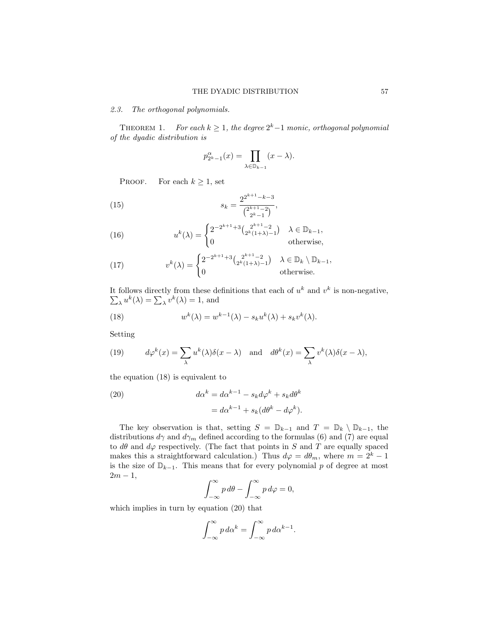#### 2.3. The orthogonal polynomials.

THEOREM 1. For each  $k \geq 1$ , the degree  $2^k-1$  monic, orthogonal polynomial of the dyadic distribution is

$$
p_{2^k-1}^{\alpha}(x) = \prod_{\lambda \in \mathbb{D}_{k-1}} (x - \lambda).
$$

PROOF. For each  $k \geq 1$ , set

(15) 
$$
s_k = \frac{2^{2^{k+1}-k-3}}{\binom{2^{k+1}-2}{2^k-1}},
$$

(16) 
$$
u^{k}(\lambda) = \begin{cases} 2^{-2^{k+1}+3} \binom{2^{k+1}-2}{2^{k}(1+\lambda)-1} & \lambda \in \mathbb{D}_{k-1}, \\ 0 & \text{otherwise,} \end{cases}
$$

(17) 
$$
v^{k}(\lambda) = \begin{cases} 2^{-2^{k+1}+3} \binom{2^{k+1}-2}{2^k(1+\lambda)-1} & \lambda \in \mathbb{D}_k \setminus \mathbb{D}_{k-1}, \\ 0 & \text{otherwise.} \end{cases}
$$

It follows directly from these definitions that each of  $u^k$  and  $v^k$  is non-negative,  $\sum_{\lambda} u^{k}(\lambda) = \sum_{\lambda} v^{k}(\lambda) = 1$ , and

(18) 
$$
w^{k}(\lambda) = w^{k-1}(\lambda) - s_{k}u^{k}(\lambda) + s_{k}v^{k}(\lambda).
$$

Setting

(19) 
$$
d\varphi^k(x) = \sum_{\lambda} u^k(\lambda)\delta(x-\lambda) \text{ and } d\theta^k(x) = \sum_{\lambda} v^k(\lambda)\delta(x-\lambda),
$$

the equation (18) is equivalent to

(20) 
$$
d\alpha^{k} = d\alpha^{k-1} - s_{k}d\varphi^{k} + s_{k}d\theta^{k}
$$

$$
= d\alpha^{k-1} + s_{k}(d\theta^{k} - d\varphi^{k}).
$$

The key observation is that, setting  $S = \mathbb{D}_{k-1}$  and  $T = \mathbb{D}_k \setminus \mathbb{D}_{k-1}$ , the distributions  $d\gamma$  and  $d\gamma_m$  defined according to the formulas (6) and (7) are equal to  $d\theta$  and  $d\varphi$  respectively. (The fact that points in S and T are equally spaced makes this a straightforward calculation.) Thus  $d\varphi = d\theta_m$ , where  $m = 2^k - 1$ is the size of  $\mathbb{D}_{k-1}$ . This means that for every polynomial p of degree at most  $2m - 1$ ,

$$
\int_{-\infty}^{\infty} p \, d\theta - \int_{-\infty}^{\infty} p \, d\varphi = 0,
$$

which implies in turn by equation (20) that

$$
\int_{-\infty}^{\infty} p \, d\alpha^k = \int_{-\infty}^{\infty} p \, d\alpha^{k-1}.
$$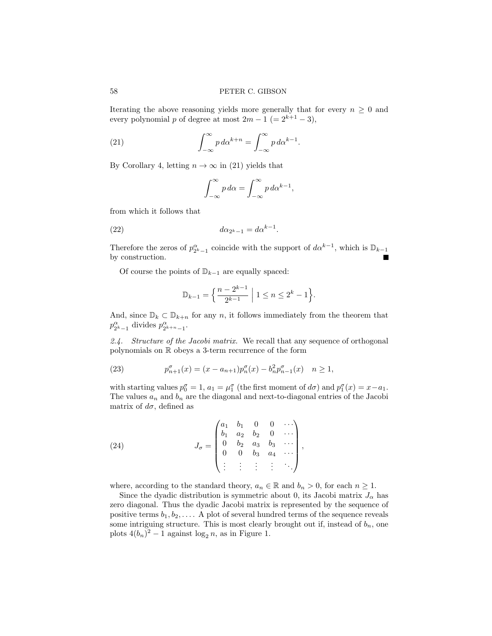Iterating the above reasoning yields more generally that for every  $n \geq 0$  and every polynomial p of degree at most  $2m - 1$  (=  $2^{k+1} - 3$ ),

(21) 
$$
\int_{-\infty}^{\infty} p \, d\alpha^{k+n} = \int_{-\infty}^{\infty} p \, d\alpha^{k-1}.
$$

By Corollary 4, letting  $n \to \infty$  in (21) yields that

$$
\int_{-\infty}^{\infty} p \, d\alpha = \int_{-\infty}^{\infty} p \, d\alpha^{k-1},
$$

from which it follows that

$$
(22) \t\t d\alpha_{2^k-1} = d\alpha^{k-1}.
$$

Therefore the zeros of  $p_{2^k-1}^{\alpha}$  coincide with the support of  $d\alpha^{k-1}$ , which is  $\mathbb{D}_{k-1}$ by construction.

Of course the points of  $\mathbb{D}_{k-1}$  are equally spaced:

$$
\mathbb{D}_{k-1} = \left\{ \frac{n-2^{k-1}}{2^{k-1}} \; \middle| \; 1 \le n \le 2^k - 1 \right\}.
$$

And, since  $\mathbb{D}_k \subset \mathbb{D}_{k+n}$  for any n, it follows immediately from the theorem that  $p_{2^k-1}^{\alpha}$  divides  $p_{2^{k+n}-1}^{\alpha}$ .

2.4. Structure of the Jacobi matrix. We recall that any sequence of orthogonal polynomials on R obeys a 3-term recurrence of the form

(23) 
$$
p_{n+1}^{\sigma}(x) = (x - a_{n+1})p_n^{\sigma}(x) - b_n^2 p_{n-1}^{\sigma}(x) \quad n \ge 1,
$$

with starting values  $p_0^{\sigma} = 1$ ,  $a_1 = \mu_1^{\sigma}$  (the first moment of  $d\sigma$ ) and  $p_1^{\sigma}(x) = x - a_1$ . The values  $a_n$  and  $b_n$  are the diagonal and next-to-diagonal entries of the Jacobi matrix of  $d\sigma$ , defined as

(24) 
$$
J_{\sigma} = \begin{pmatrix} a_1 & b_1 & 0 & 0 & \cdots \\ b_1 & a_2 & b_2 & 0 & \cdots \\ 0 & b_2 & a_3 & b_3 & \cdots \\ 0 & 0 & b_3 & a_4 & \cdots \\ \vdots & \vdots & \vdots & \vdots & \ddots \end{pmatrix},
$$

where, according to the standard theory,  $a_n \in \mathbb{R}$  and  $b_n > 0$ , for each  $n \ge 1$ .

Since the dyadic distribution is symmetric about 0, its Jacobi matrix  $J_{\alpha}$  has zero diagonal. Thus the dyadic Jacobi matrix is represented by the sequence of positive terms  $b_1, b_2, \ldots$ . A plot of several hundred terms of the sequence reveals some intriguing structure. This is most clearly brought out if, instead of  $b_n$ , one plots  $4(b_n)^2 - 1$  against  $\log_2 n$ , as in Figure 1.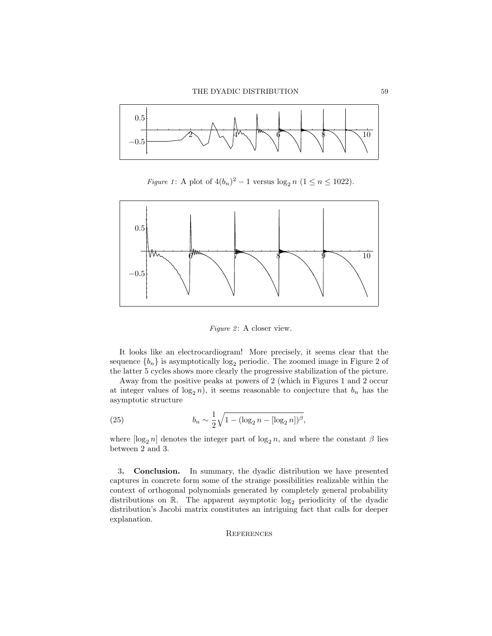

*Figure 1*: A plot of  $4(b_n)^2 - 1$  versus  $\log_2 n$  ( $1 \le n \le 1022$ ).



*Figure 2*: A closer view.

It looks like an electrocardiogram! More precisely, it seems clear that the sequence  ${b_n}$  is asymptotically log<sub>2</sub> periodic. The zoomed image in Figure 2 of the latter 5 cycles shows more clearly the progressive stabilization of the picture.

Away from the positive peaks at powers of 2 (which in Figures 1 and 2 occur at integer values of  $log_2 n$ , it seems reasonable to conjecture that  $b_n$  has the asymptotic structure

(25) 
$$
b_n \sim \frac{1}{2} \sqrt{1 - (\log_2 n - [\log_2 n])^{\beta}},
$$

where  $\lbrack \log_2 n \rbrack$  denotes the integer part of  $\log_2 n$ , and where the constant  $\beta$  lies between 2 and 3.

3. Conclusion. In summary, the dyadic distribution we have presented captures in concrete form some of the strange possibilities realizable within the context of orthogonal polynomials generated by completely general probability distributions on  $\mathbb{R}$ . The apparent asymptotic  $\log_2$  periodicity of the dyadic distribution's Jacobi matrix constitutes an intriguing fact that calls for deeper explanation.

### **REFERENCES**